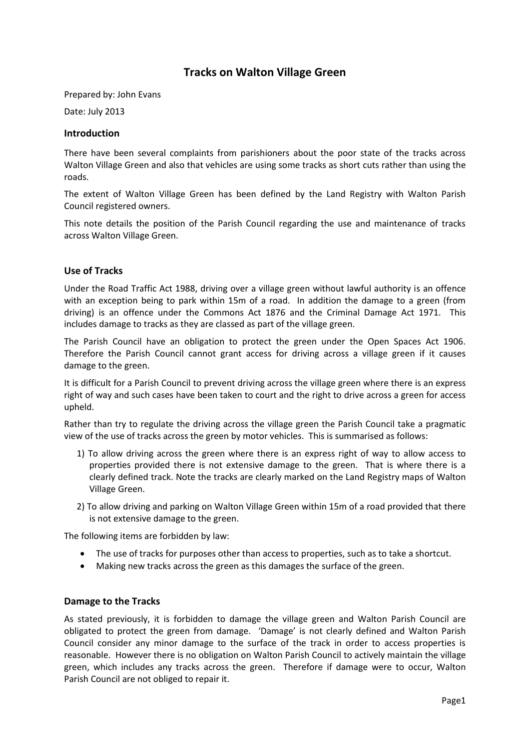## **Tracks on Walton Village Green**

Prepared by: John Evans

Date: July 2013

## **Introduction**

There have been several complaints from parishioners about the poor state of the tracks across Walton Village Green and also that vehicles are using some tracks as short cuts rather than using the roads.

The extent of Walton Village Green has been defined by the Land Registry with Walton Parish Council registered owners.

This note details the position of the Parish Council regarding the use and maintenance of tracks across Walton Village Green.

## **Use of Tracks**

Under the Road Traffic Act 1988, driving over a village green without lawful authority is an offence with an exception being to park within 15m of a road. In addition the damage to a green (from driving) is an offence under the Commons Act 1876 and the Criminal Damage Act 1971. This includes damage to tracks as they are classed as part of the village green.

The Parish Council have an obligation to protect the green under the Open Spaces Act 1906. Therefore the Parish Council cannot grant access for driving across a village green if it causes damage to the green.

It is difficult for a Parish Council to prevent driving across the village green where there is an express right of way and such cases have been taken to court and the right to drive across a green for access upheld.

Rather than try to regulate the driving across the village green the Parish Council take a pragmatic view of the use of tracks across the green by motor vehicles. This is summarised as follows:

- 1) To allow driving across the green where there is an express right of way to allow access to properties provided there is not extensive damage to the green. That is where there is a clearly defined track. Note the tracks are clearly marked on the Land Registry maps of Walton Village Green.
- 2) To allow driving and parking on Walton Village Green within 15m of a road provided that there is not extensive damage to the green.

The following items are forbidden by law:

- The use of tracks for purposes other than access to properties, such as to take a shortcut.
- Making new tracks across the green as this damages the surface of the green.

## **Damage to the Tracks**

As stated previously, it is forbidden to damage the village green and Walton Parish Council are obligated to protect the green from damage. 'Damage' is not clearly defined and Walton Parish Council consider any minor damage to the surface of the track in order to access properties is reasonable. However there is no obligation on Walton Parish Council to actively maintain the village green, which includes any tracks across the green. Therefore if damage were to occur, Walton Parish Council are not obliged to repair it.